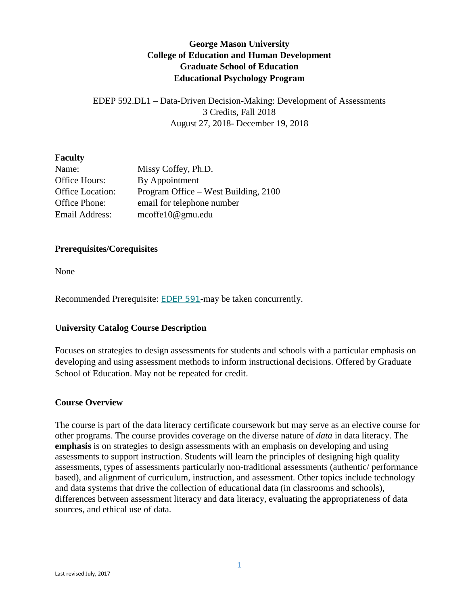# **George Mason University College of Education and Human Development Graduate School of Education Educational Psychology Program**

EDEP 592.DL1 – Data-Driven Decision-Making: Development of Assessments 3 Credits, Fall 2018 August 27, 2018- December 19, 2018

#### **Faculty**

| Name:                   | Missy Coffey, Ph.D.                  |
|-------------------------|--------------------------------------|
| Office Hours:           | By Appointment                       |
| <b>Office Location:</b> | Program Office – West Building, 2100 |
| Office Phone:           | email for telephone number           |
| Email Address:          | $\text{mcoffel}0@ \text{gmu.edu}$    |

#### **Prerequisites/Corequisites**

None

Recommended Prerequisite: [EDEP](https://catalog.gmu.edu/search/?P=EDEP%20591) 591-may be taken concurrently.

## **University Catalog Course Description**

Focuses on strategies to design assessments for students and schools with a particular emphasis on developing and using assessment methods to inform instructional decisions. Offered by [Graduate](https://catalog.gmu.edu/colleges-schools/education-human-development/graduate-education/)  [School of Education.](https://catalog.gmu.edu/colleges-schools/education-human-development/graduate-education/) May not be repeated for credit.

#### **Course Overview**

The course is part of the data literacy certificate coursework but may serve as an elective course for other programs. The course provides coverage on the diverse nature of *data* in data literacy. The **emphasis** is on strategies to design assessments with an emphasis on developing and using assessments to support instruction. Students will learn the principles of designing high quality assessments, types of assessments particularly non-traditional assessments (authentic/ performance based), and alignment of curriculum, instruction, and assessment. Other topics include technology and data systems that drive the collection of educational data (in classrooms and schools), differences between assessment literacy and data literacy, evaluating the appropriateness of data sources, and ethical use of data.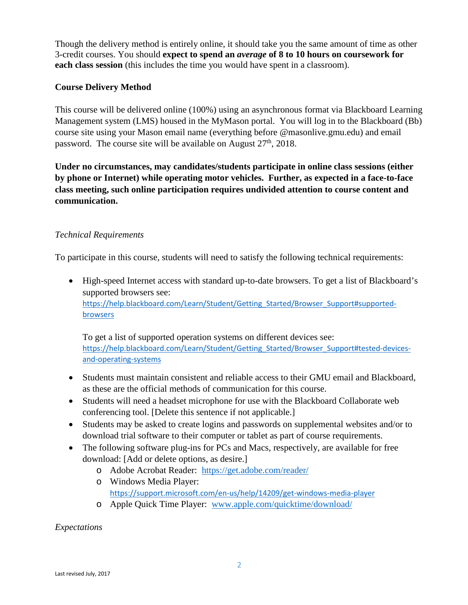Though the delivery method is entirely online, it should take you the same amount of time as other 3-credit courses. You should **expect to spend an** *average* **of 8 to 10 hours on coursework for each class session** (this includes the time you would have spent in a classroom).

## **Course Delivery Method**

This course will be delivered online (100%) using an asynchronous format via Blackboard Learning Management system (LMS) housed in the MyMason portal. You will log in to the Blackboard (Bb) course site using your Mason email name (everything before @masonlive.gmu.edu) and email password. The course site will be available on August 27<sup>th</sup>, 2018.

**Under no circumstances, may candidates/students participate in online class sessions (either by phone or Internet) while operating motor vehicles. Further, as expected in a face-to-face class meeting, such online participation requires undivided attention to course content and communication.**

# *Technical Requirements*

To participate in this course, students will need to satisfy the following technical requirements:

• High-speed Internet access with standard up-to-date browsers. To get a list of Blackboard's supported browsers see: [https://help.blackboard.com/Learn/Student/Getting\\_Started/Browser\\_Support#supported](https://help.blackboard.com/Learn/Student/Getting_Started/Browser_Support#supported-browsers)[browsers](https://help.blackboard.com/Learn/Student/Getting_Started/Browser_Support#supported-browsers)

To get a list of supported operation systems on different devices see: https://help.blackboard.com/Learn/Student/Getting Started/Browser Support#tested-devices[and-operating-systems](https://help.blackboard.com/Learn/Student/Getting_Started/Browser_Support#tested-devices-and-operating-systems)

- Students must maintain consistent and reliable access to their GMU email and Blackboard, as these are the official methods of communication for this course.
- Students will need a headset microphone for use with the Blackboard Collaborate web conferencing tool. [Delete this sentence if not applicable.]
- Students may be asked to create logins and passwords on supplemental websites and/or to download trial software to their computer or tablet as part of course requirements.
- The following software plug-ins for PCs and Macs, respectively, are available for free download: [Add or delete options, as desire.]
	- o Adobe Acrobat Reader: <https://get.adobe.com/reader/>
	- o Windows Media Player: <https://support.microsoft.com/en-us/help/14209/get-windows-media-player>
	- o Apple Quick Time Player: [www.apple.com/quicktime/download/](http://www.apple.com/quicktime/download/)

*Expectations*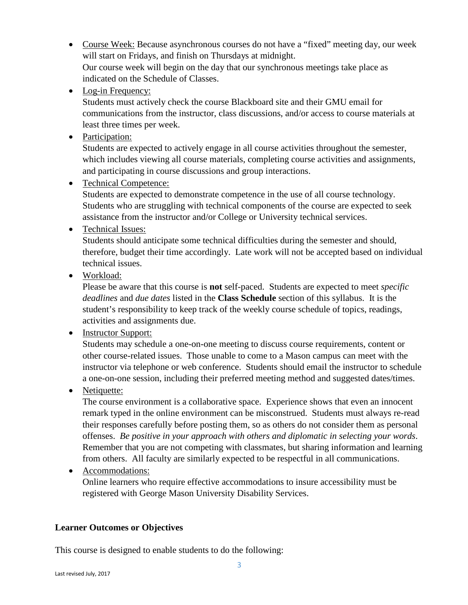- Course Week: Because asynchronous courses do not have a "fixed" meeting day, our week will start on Fridays, and finish on Thursdays at midnight. Our course week will begin on the day that our synchronous meetings take place as indicated on the Schedule of Classes.
- Log-in Frequency:

Students must actively check the course Blackboard site and their GMU email for communications from the instructor, class discussions, and/or access to course materials at least three times per week.

• Participation:

Students are expected to actively engage in all course activities throughout the semester, which includes viewing all course materials, completing course activities and assignments, and participating in course discussions and group interactions.

• Technical Competence:

Students are expected to demonstrate competence in the use of all course technology. Students who are struggling with technical components of the course are expected to seek assistance from the instructor and/or College or University technical services.

• Technical Issues:

Students should anticipate some technical difficulties during the semester and should, therefore, budget their time accordingly. Late work will not be accepted based on individual technical issues.

• Workload:

Please be aware that this course is **not** self-paced. Students are expected to meet *specific deadlines* and *due dates* listed in the **Class Schedule** section of this syllabus. It is the student's responsibility to keep track of the weekly course schedule of topics, readings, activities and assignments due.

• Instructor Support:

Students may schedule a one-on-one meeting to discuss course requirements, content or other course-related issues. Those unable to come to a Mason campus can meet with the instructor via telephone or web conference. Students should email the instructor to schedule a one-on-one session, including their preferred meeting method and suggested dates/times.

• Netiquette:

The course environment is a collaborative space. Experience shows that even an innocent remark typed in the online environment can be misconstrued. Students must always re-read their responses carefully before posting them, so as others do not consider them as personal offenses. *Be positive in your approach with others and diplomatic in selecting your words*. Remember that you are not competing with classmates, but sharing information and learning from others. All faculty are similarly expected to be respectful in all communications.

• Accommodations: Online learners who require effective accommodations to insure accessibility must be registered with George Mason University Disability Services.

## **Learner Outcomes or Objectives**

This course is designed to enable students to do the following: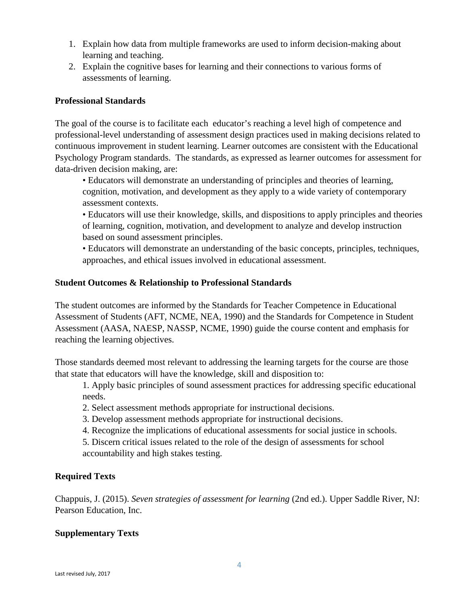- 1. Explain how data from multiple frameworks are used to inform decision-making about learning and teaching.
- 2. Explain the cognitive bases for learning and their connections to various forms of assessments of learning.

### **Professional Standards**

The goal of the course is to facilitate each educator's reaching a level high of competence and professional-level understanding of assessment design practices used in making decisions related to continuous improvement in student learning. Learner outcomes are consistent with the Educational Psychology Program standards. The standards, as expressed as learner outcomes for assessment for data-driven decision making, are:

• Educators will demonstrate an understanding of principles and theories of learning, cognition, motivation, and development as they apply to a wide variety of contemporary assessment contexts.

• Educators will use their knowledge, skills, and dispositions to apply principles and theories of learning, cognition, motivation, and development to analyze and develop instruction based on sound assessment principles.

• Educators will demonstrate an understanding of the basic concepts, principles, techniques, approaches, and ethical issues involved in educational assessment.

#### **Student Outcomes & Relationship to Professional Standards**

The student outcomes are informed by the Standards for Teacher Competence in Educational Assessment of Students (AFT, NCME, NEA, 1990) and the Standards for Competence in Student Assessment (AASA, NAESP, NASSP, NCME, 1990) guide the course content and emphasis for reaching the learning objectives.

Those standards deemed most relevant to addressing the learning targets for the course are those that state that educators will have the knowledge, skill and disposition to:

1. Apply basic principles of sound assessment practices for addressing specific educational needs.

- 2. Select assessment methods appropriate for instructional decisions.
- 3. Develop assessment methods appropriate for instructional decisions.
- 4. Recognize the implications of educational assessments for social justice in schools.

5. Discern critical issues related to the role of the design of assessments for school accountability and high stakes testing.

## **Required Texts**

Chappuis, J. (2015). *Seven strategies of assessment for learning* (2nd ed.). Upper Saddle River, NJ: Pearson Education, Inc.

#### **Supplementary Texts**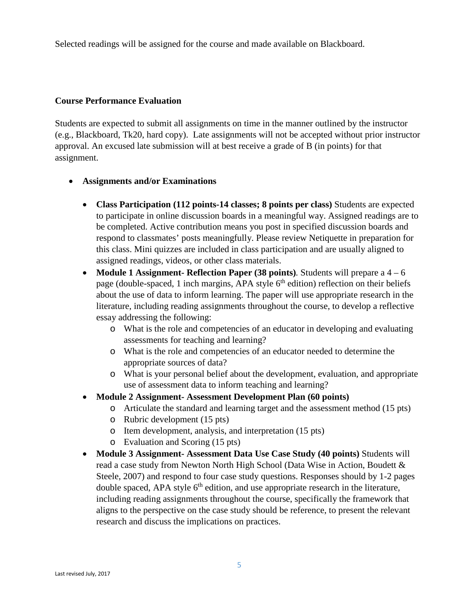Selected readings will be assigned for the course and made available on Blackboard.

#### **Course Performance Evaluation**

Students are expected to submit all assignments on time in the manner outlined by the instructor (e.g., Blackboard, Tk20, hard copy). Late assignments will not be accepted without prior instructor approval. An excused late submission will at best receive a grade of B (in points) for that assignment.

#### • **Assignments and/or Examinations**

- **Class Participation (112 points-14 classes; 8 points per class)** Students are expected to participate in online discussion boards in a meaningful way. Assigned readings are to be completed. Active contribution means you post in specified discussion boards and respond to classmates' posts meaningfully. Please review Netiquette in preparation for this class. Mini quizzes are included in class participation and are usually aligned to assigned readings, videos, or other class materials.
- **Module 1 Assignment- Reflection Paper (38 points)***.* Students will prepare a 4 6 page (double-spaced, 1 inch margins, APA style  $6<sup>th</sup>$  edition) reflection on their beliefs about the use of data to inform learning. The paper will use appropriate research in the literature, including reading assignments throughout the course, to develop a reflective essay addressing the following:
	- o What is the role and competencies of an educator in developing and evaluating assessments for teaching and learning?
	- o What is the role and competencies of an educator needed to determine the appropriate sources of data?
	- o What is your personal belief about the development, evaluation, and appropriate use of assessment data to inform teaching and learning?
- **Module 2 Assignment- Assessment Development Plan (60 points)**
	- o Articulate the standard and learning target and the assessment method (15 pts)
	- o Rubric development (15 pts)
	- o Item development, analysis, and interpretation (15 pts)
	- o Evaluation and Scoring (15 pts)
- **Module 3 Assignment- Assessment Data Use Case Study (40 points)** Students will read a case study from Newton North High School (Data Wise in Action, Boudett & Steele, 2007) and respond to four case study questions. Responses should by 1-2 pages double spaced, APA style  $6<sup>th</sup>$  edition, and use appropriate research in the literature, including reading assignments throughout the course, specifically the framework that aligns to the perspective on the case study should be reference, to present the relevant research and discuss the implications on practices.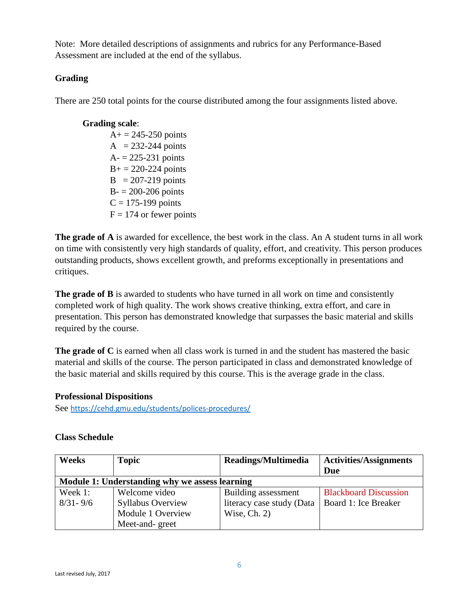Note: More detailed descriptions of assignments and rubrics for any Performance-Based Assessment are included at the end of the syllabus.

# **Grading**

There are 250 total points for the course distributed among the four assignments listed above.

## **Grading scale**:

 $A+ = 245 - 250$  points  $A = 232-244$  points  $A = 225 - 231$  points  $B_+ = 220 - 224$  points  $B = 207-219$  points  $B - 200 - 206$  points  $C = 175-199$  points  $F = 174$  or fewer points

**The grade of A** is awarded for excellence, the best work in the class. An A student turns in all work on time with consistently very high standards of quality, effort, and creativity. This person produces outstanding products, shows excellent growth, and preforms exceptionally in presentations and critiques.

**The grade of B** is awarded to students who have turned in all work on time and consistently completed work of high quality. The work shows creative thinking, extra effort, and care in presentation. This person has demonstrated knowledge that surpasses the basic material and skills required by the course.

**The grade of C** is earned when all class work is turned in and the student has mastered the basic material and skills of the course. The person participated in class and demonstrated knowledge of the basic material and skills required by this course. This is the average grade in the class.

## **Professional Dispositions**

See <https://cehd.gmu.edu/students/polices-procedures/>

| <b>Weeks</b> | <b>Topic</b>                                   | Readings/Multimedia       | <b>Activities/Assignments</b> |
|--------------|------------------------------------------------|---------------------------|-------------------------------|
|              |                                                |                           | Due                           |
|              | Module 1: Understanding why we assess learning |                           |                               |
| Week 1:      | Welcome video                                  | Building assessment       | <b>Blackboard Discussion</b>  |
| $8/31 - 9/6$ | <b>Syllabus Overview</b>                       | literacy case study (Data | Board 1: Ice Breaker          |
|              | Module 1 Overview                              | Wise, $Ch. 2)$            |                               |
|              | Meet-and-greet                                 |                           |                               |

# **Class Schedule**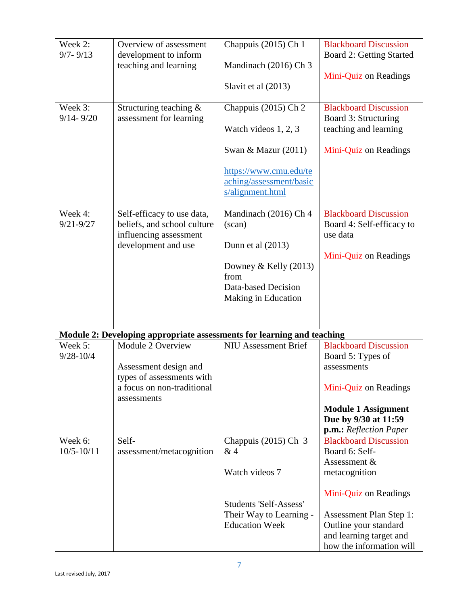| Week 2:<br>$9/7 - 9/13$<br>Week 3:<br>$9/14 - 9/20$ | Overview of assessment<br>development to inform<br>teaching and learning<br>Structuring teaching $\&$<br>assessment for learning | Chappuis (2015) Ch 1<br>Mandinach (2016) Ch 3<br>Slavit et al (2013)<br>Chappuis (2015) Ch 2<br>Watch videos $1, 2, 3$<br>Swan & Mazur $(2011)$ | <b>Blackboard Discussion</b><br><b>Board 2: Getting Started</b><br>Mini-Quiz on Readings<br><b>Blackboard Discussion</b><br>Board 3: Structuring<br>teaching and learning<br>Mini-Quiz on Readings |
|-----------------------------------------------------|----------------------------------------------------------------------------------------------------------------------------------|-------------------------------------------------------------------------------------------------------------------------------------------------|----------------------------------------------------------------------------------------------------------------------------------------------------------------------------------------------------|
| Week 4:                                             | Self-efficacy to use data,                                                                                                       | https://www.cmu.edu/te<br>aching/assessment/basic<br>s/alignment.html<br>Mandinach (2016) Ch 4                                                  | <b>Blackboard Discussion</b>                                                                                                                                                                       |
| $9/21 - 9/27$                                       | beliefs, and school culture<br>influencing assessment<br>development and use                                                     | $(\text{scan})$<br>Dunn et al $(2013)$                                                                                                          | Board 4: Self-efficacy to<br>use data                                                                                                                                                              |
|                                                     |                                                                                                                                  | Downey & Kelly $(2013)$<br>from<br>Data-based Decision<br>Making in Education                                                                   | Mini-Quiz on Readings                                                                                                                                                                              |
|                                                     | Module 2: Developing appropriate assessments for learning and teaching                                                           |                                                                                                                                                 |                                                                                                                                                                                                    |
| Week 5:<br>$9/28 - 10/4$                            | Module 2 Overview<br>Assessment design and<br>types of assessments with<br>a focus on non-traditional<br>assessments             | <b>NIU Assessment Brief</b>                                                                                                                     | <b>Blackboard Discussion</b><br>Board 5: Types of<br>assessments<br>Mini-Quiz on Readings<br><b>Module 1 Assignment</b><br>Due by 9/30 at 11:59<br>p.m.: Reflection Paper                          |
| Week 6:                                             | Self-                                                                                                                            | Chappuis (2015) Ch 3                                                                                                                            | <b>Blackboard Discussion</b>                                                                                                                                                                       |
| $10/5 - 10/11$                                      | assessment/metacognition                                                                                                         | &4<br>Watch videos 7                                                                                                                            | Board 6: Self-<br>Assessment $&$<br>metacognition                                                                                                                                                  |
|                                                     |                                                                                                                                  | <b>Students 'Self-Assess'</b><br>Their Way to Learning -<br><b>Education Week</b>                                                               | Mini-Quiz on Readings<br>Assessment Plan Step 1:<br>Outline your standard<br>and learning target and<br>how the information will                                                                   |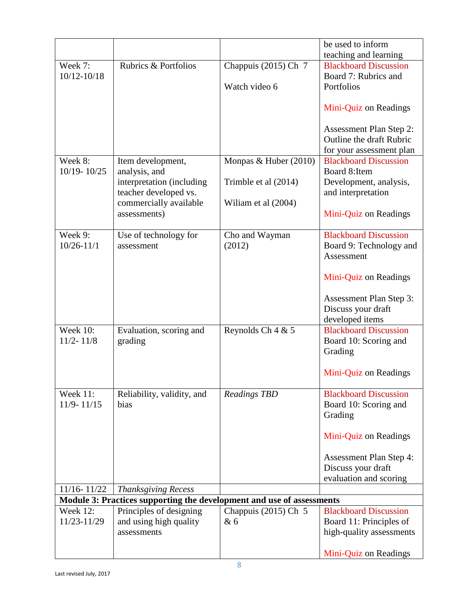|                           |                                                                       |                          | be used to inform                                                       |
|---------------------------|-----------------------------------------------------------------------|--------------------------|-------------------------------------------------------------------------|
|                           |                                                                       |                          | teaching and learning                                                   |
| Week 7:                   | Rubrics & Portfolios                                                  | Chappuis (2015) Ch 7     | <b>Blackboard Discussion</b>                                            |
| $10/12 - 10/18$           |                                                                       |                          | Board 7: Rubrics and                                                    |
|                           |                                                                       | Watch video 6            | Portfolios                                                              |
|                           |                                                                       |                          | Mini-Quiz on Readings                                                   |
|                           |                                                                       |                          | <b>Assessment Plan Step 2:</b><br>Outline the draft Rubric              |
|                           |                                                                       |                          | for your assessment plan                                                |
| Week 8:                   | Item development,                                                     | Monpas & Huber (2010)    | <b>Blackboard Discussion</b>                                            |
| 10/19-10/25               | analysis, and                                                         |                          | Board 8: Item                                                           |
|                           | interpretation (including                                             | Trimble et al (2014)     | Development, analysis,                                                  |
|                           | teacher developed vs.<br>commercially available                       | Wiliam et al (2004)      | and interpretation                                                      |
|                           | assessments)                                                          |                          | Mini-Quiz on Readings                                                   |
|                           |                                                                       |                          |                                                                         |
| Week 9:<br>$10/26 - 11/1$ | Use of technology for<br>assessment                                   | Cho and Wayman<br>(2012) | <b>Blackboard Discussion</b><br>Board 9: Technology and                 |
|                           |                                                                       |                          | Assessment                                                              |
|                           |                                                                       |                          | Mini-Quiz on Readings                                                   |
|                           |                                                                       |                          | <b>Assessment Plan Step 3:</b><br>Discuss your draft<br>developed items |
| <b>Week 10:</b>           | Evaluation, scoring and                                               | Reynolds Ch 4 & 5        | <b>Blackboard Discussion</b>                                            |
| $11/2 - 11/8$             | grading                                                               |                          | Board 10: Scoring and                                                   |
|                           |                                                                       |                          | Grading                                                                 |
|                           |                                                                       |                          |                                                                         |
|                           |                                                                       |                          | Mini-Quiz on Readings                                                   |
| Week 11:                  | Reliability, validity, and                                            | <b>Readings TBD</b>      | <b>Blackboard Discussion</b>                                            |
| $11/9 - 11/15$            | bias                                                                  |                          | Board 10: Scoring and                                                   |
|                           |                                                                       |                          | Grading                                                                 |
|                           |                                                                       |                          | Mini-Quiz on Readings                                                   |
|                           |                                                                       |                          | <b>Assessment Plan Step 4:</b>                                          |
|                           |                                                                       |                          | Discuss your draft                                                      |
|                           |                                                                       |                          | evaluation and scoring                                                  |
| 11/16-11/22               | <b>Thanksgiving Recess</b>                                            |                          |                                                                         |
|                           | Module 3: Practices supporting the development and use of assessments |                          |                                                                         |
| <b>Week 12:</b>           | Principles of designing                                               | Chappuis $(2015)$ Ch 5   | <b>Blackboard Discussion</b>                                            |
| 11/23-11/29               | and using high quality                                                | & 6                      | Board 11: Principles of                                                 |
|                           | assessments                                                           |                          | high-quality assessments                                                |
|                           |                                                                       |                          | Mini-Quiz on Readings                                                   |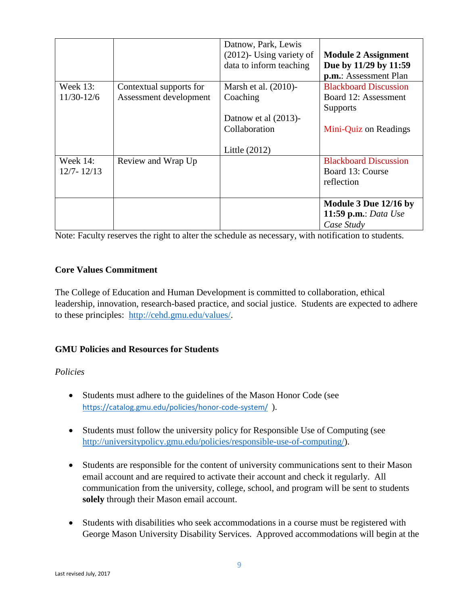|                |                         | Datnow, Park, Lewis         |                              |
|----------------|-------------------------|-----------------------------|------------------------------|
|                |                         | $(2012)$ - Using variety of | <b>Module 2 Assignment</b>   |
|                |                         | data to inform teaching     | Due by 11/29 by 11:59        |
|                |                         |                             | p.m.: Assessment Plan        |
| Week 13:       | Contextual supports for | Marsh et al. (2010)-        | <b>Blackboard Discussion</b> |
| $11/30-12/6$   | Assessment development  | Coaching                    | Board 12: Assessment         |
|                |                         |                             | <b>Supports</b>              |
|                |                         | Datnow et al $(2013)$ -     |                              |
|                |                         | Collaboration               | Mini-Quiz on Readings        |
|                |                         |                             |                              |
|                |                         | Little (2012)               |                              |
| Week $14$ :    | Review and Wrap Up      |                             | <b>Blackboard Discussion</b> |
| $12/7 - 12/13$ |                         |                             | Board 13: Course             |
|                |                         |                             | reflection                   |
|                |                         |                             |                              |
|                |                         |                             | Module 3 Due 12/16 by        |
|                |                         |                             | <b>11:59 p.m.:</b> Data Use  |
|                |                         |                             | Case Study                   |

Note: Faculty reserves the right to alter the schedule as necessary, with notification to students.

## **Core Values Commitment**

The College of Education and Human Development is committed to collaboration, ethical leadership, innovation, research-based practice, and social justice. Students are expected to adhere to these principles: [http://cehd.gmu.edu/values/.](http://cehd.gmu.edu/values/)

# **GMU Policies and Resources for Students**

## *Policies*

- Students must adhere to the guidelines of the Mason Honor Code (see <https://catalog.gmu.edu/policies/honor-code-system/>).
- Students must follow the university policy for Responsible Use of Computing (see [http://universitypolicy.gmu.edu/policies/responsible-use-of-computing/\)](http://universitypolicy.gmu.edu/policies/responsible-use-of-computing/).
- Students are responsible for the content of university communications sent to their Mason email account and are required to activate their account and check it regularly. All communication from the university, college, school, and program will be sent to students **solely** through their Mason email account.
- Students with disabilities who seek accommodations in a course must be registered with George Mason University Disability Services. Approved accommodations will begin at the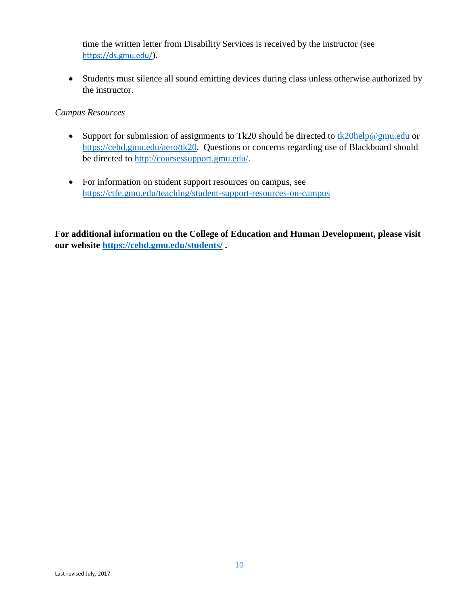time the written letter from Disability Services is received by the instructor (see <https://ds.gmu.edu/>).

• Students must silence all sound emitting devices during class unless otherwise authorized by the instructor.

#### *Campus Resources*

- Support for submission of assignments to Tk20 should be directed to  $tk20$ help@gmu.edu or [https://cehd.gmu.edu/aero/tk20.](https://cehd.gmu.edu/aero/tk20) Questions or concerns regarding use of Blackboard should be directed to [http://coursessupport.gmu.edu/.](http://coursessupport.gmu.edu/)
- For information on student support resources on campus, see <https://ctfe.gmu.edu/teaching/student-support-resources-on-campus>

**For additional information on the College of Education and Human Development, please visit our website<https://cehd.gmu.edu/students/> .**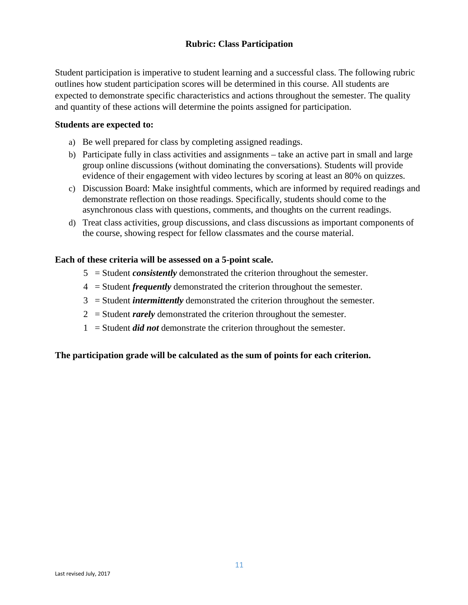# **Rubric: Class Participation**

Student participation is imperative to student learning and a successful class. The following rubric outlines how student participation scores will be determined in this course. All students are expected to demonstrate specific characteristics and actions throughout the semester. The quality and quantity of these actions will determine the points assigned for participation.

#### **Students are expected to:**

- a) Be well prepared for class by completing assigned readings.
- b) Participate fully in class activities and assignments take an active part in small and large group online discussions (without dominating the conversations). Students will provide evidence of their engagement with video lectures by scoring at least an 80% on quizzes.
- c) Discussion Board: Make insightful comments, which are informed by required readings and demonstrate reflection on those readings. Specifically, students should come to the asynchronous class with questions, comments, and thoughts on the current readings.
- d) Treat class activities, group discussions, and class discussions as important components of the course, showing respect for fellow classmates and the course material.

#### **Each of these criteria will be assessed on a 5-point scale.**

- 5 = Student *consistently* demonstrated the criterion throughout the semester.
- 4 = Student *frequently* demonstrated the criterion throughout the semester.
- 3 = Student *intermittently* demonstrated the criterion throughout the semester.
- 2 = Student *rarely* demonstrated the criterion throughout the semester.
- 1 = Student *did not* demonstrate the criterion throughout the semester.

#### **The participation grade will be calculated as the sum of points for each criterion.**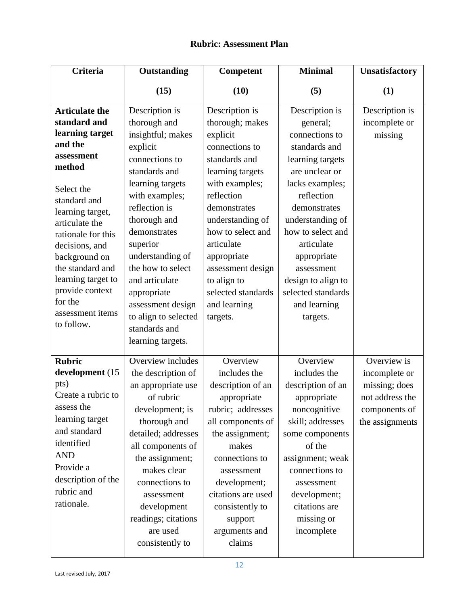# **Rubric: Assessment Plan**

| <b>Criteria</b>                                                                                                                                                                                                                                                                                                                    | Outstanding                                                                                                                                                                                                                                                                                                                                                        | Competent                                                                                                                                                                                                                                                                                                        | <b>Minimal</b>                                                                                                                                                                                                                                                                                                   | <b>Unsatisfactory</b>                                                                                |
|------------------------------------------------------------------------------------------------------------------------------------------------------------------------------------------------------------------------------------------------------------------------------------------------------------------------------------|--------------------------------------------------------------------------------------------------------------------------------------------------------------------------------------------------------------------------------------------------------------------------------------------------------------------------------------------------------------------|------------------------------------------------------------------------------------------------------------------------------------------------------------------------------------------------------------------------------------------------------------------------------------------------------------------|------------------------------------------------------------------------------------------------------------------------------------------------------------------------------------------------------------------------------------------------------------------------------------------------------------------|------------------------------------------------------------------------------------------------------|
|                                                                                                                                                                                                                                                                                                                                    | (15)                                                                                                                                                                                                                                                                                                                                                               | (10)                                                                                                                                                                                                                                                                                                             | (5)                                                                                                                                                                                                                                                                                                              | (1)                                                                                                  |
| <b>Articulate the</b><br>standard and<br>learning target<br>and the<br>assessment<br>method<br>Select the<br>standard and<br>learning target,<br>articulate the<br>rationale for this<br>decisions, and<br>background on<br>the standard and<br>learning target to<br>provide context<br>for the<br>assessment items<br>to follow. | Description is<br>thorough and<br>insightful; makes<br>explicit<br>connections to<br>standards and<br>learning targets<br>with examples;<br>reflection is<br>thorough and<br>demonstrates<br>superior<br>understanding of<br>the how to select<br>and articulate<br>appropriate<br>assessment design<br>to align to selected<br>standards and<br>learning targets. | Description is<br>thorough; makes<br>explicit<br>connections to<br>standards and<br>learning targets<br>with examples;<br>reflection<br>demonstrates<br>understanding of<br>how to select and<br>articulate<br>appropriate<br>assessment design<br>to align to<br>selected standards<br>and learning<br>targets. | Description is<br>general;<br>connections to<br>standards and<br>learning targets<br>are unclear or<br>lacks examples;<br>reflection<br>demonstrates<br>understanding of<br>how to select and<br>articulate<br>appropriate<br>assessment<br>design to align to<br>selected standards<br>and learning<br>targets. | Description is<br>incomplete or<br>missing                                                           |
| <b>Rubric</b><br>development (15<br>pts)<br>Create a rubric to<br>assess the<br>learning target<br>and standard<br>identified<br><b>AND</b><br>Provide a<br>description of the<br>rubric and<br>rationale.                                                                                                                         | Overview includes<br>the description of<br>an appropriate use<br>of rubric<br>development; is<br>thorough and<br>detailed; addresses<br>all components of<br>the assignment;<br>makes clear<br>connections to<br>assessment<br>development<br>readings; citations<br>are used<br>consistently to                                                                   | Overview<br>includes the<br>description of an<br>appropriate<br>rubric; addresses<br>all components of<br>the assignment;<br>makes<br>connections to<br>assessment<br>development;<br>citations are used<br>consistently to<br>support<br>arguments and<br>claims                                                | Overview<br>includes the<br>description of an<br>appropriate<br>noncognitive<br>skill; addresses<br>some components<br>of the<br>assignment; weak<br>connections to<br>assessment<br>development;<br>citations are<br>missing or<br>incomplete                                                                   | Overview is<br>incomplete or<br>missing; does<br>not address the<br>components of<br>the assignments |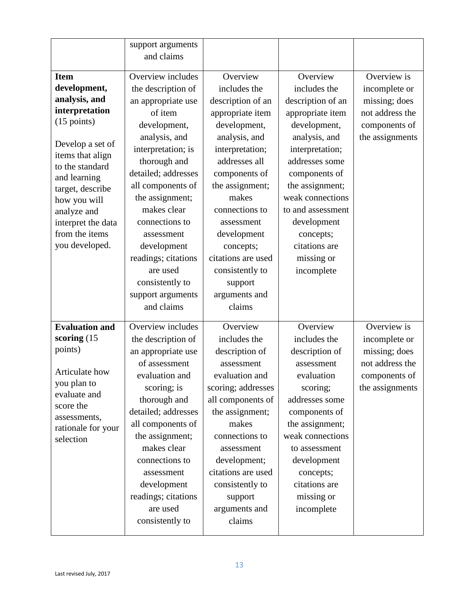|                                    | support arguments   |                    |                   |                 |
|------------------------------------|---------------------|--------------------|-------------------|-----------------|
|                                    | and claims          |                    |                   |                 |
|                                    |                     |                    |                   |                 |
| <b>Item</b>                        | Overview includes   | Overview           | Overview          | Overview is     |
| development,                       | the description of  | includes the       | includes the      | incomplete or   |
| analysis, and                      | an appropriate use  | description of an  | description of an | missing; does   |
| interpretation                     | of item             | appropriate item   | appropriate item  | not address the |
| $(15 \text{ points})$              | development,        | development,       | development,      | components of   |
| Develop a set of                   | analysis, and       | analysis, and      | analysis, and     | the assignments |
| items that align                   | interpretation; is  | interpretation;    | interpretation;   |                 |
| to the standard                    | thorough and        | addresses all      | addresses some    |                 |
| and learning                       | detailed; addresses | components of      | components of     |                 |
| target, describe                   | all components of   | the assignment;    | the assignment;   |                 |
| how you will                       | the assignment;     | makes              | weak connections  |                 |
| analyze and                        | makes clear         | connections to     | to and assessment |                 |
| interpret the data                 | connections to      | assessment         | development       |                 |
| from the items                     | assessment          | development        | concepts;         |                 |
| you developed.                     | development         | concepts;          | citations are     |                 |
|                                    | readings; citations | citations are used | missing or        |                 |
|                                    | are used            | consistently to    | incomplete        |                 |
|                                    | consistently to     | support            |                   |                 |
|                                    | support arguments   | arguments and      |                   |                 |
|                                    | and claims          | claims             |                   |                 |
|                                    |                     |                    |                   |                 |
| <b>Evaluation and</b>              | Overview includes   | Overview           | Overview          | Overview is     |
| scoring $(15$                      | the description of  | includes the       | includes the      | incomplete or   |
| points)                            | an appropriate use  | description of     | description of    | missing; does   |
|                                    | of assessment       | assessment         | assessment        | not address the |
| Articulate how                     | evaluation and      | evaluation and     | evaluation        | components of   |
| you plan to                        | scoring; is         | scoring; addresses | scoring;          | the assignments |
| evaluate and                       | thorough and        | all components of  | addresses some    |                 |
| score the                          | detailed; addresses | the assignment;    | components of     |                 |
| assessments,<br>rationale for your | all components of   | makes              | the assignment;   |                 |
| selection                          | the assignment;     | connections to     | weak connections  |                 |
|                                    | makes clear         | assessment         | to assessment     |                 |
|                                    | connections to      | development;       | development       |                 |
|                                    | assessment          | citations are used | concepts;         |                 |
|                                    | development         | consistently to    | citations are     |                 |
|                                    | readings; citations | support            | missing or        |                 |
|                                    | are used            | arguments and      | incomplete        |                 |
|                                    | consistently to     | claims             |                   |                 |
|                                    |                     |                    |                   |                 |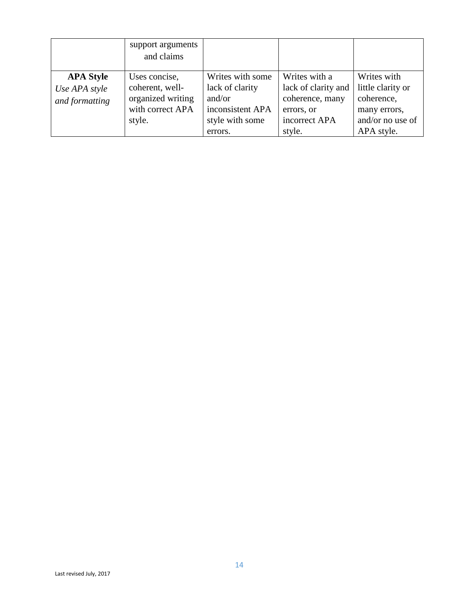|                  | support arguments<br>and claims |                  |                     |                   |
|------------------|---------------------------------|------------------|---------------------|-------------------|
| <b>APA Style</b> | Uses concise,                   | Writes with some | Writes with a       | Writes with       |
| Use APA style    | coherent, well-                 | lack of clarity  | lack of clarity and | little clarity or |
| and formatting   | organized writing               | and/or           | coherence, many     | coherence,        |
|                  | with correct APA                | inconsistent APA | errors, or          | many errors,      |
|                  | style.                          | style with some  | incorrect APA       | and/or no use of  |
|                  |                                 | errors.          | style.              | APA style.        |